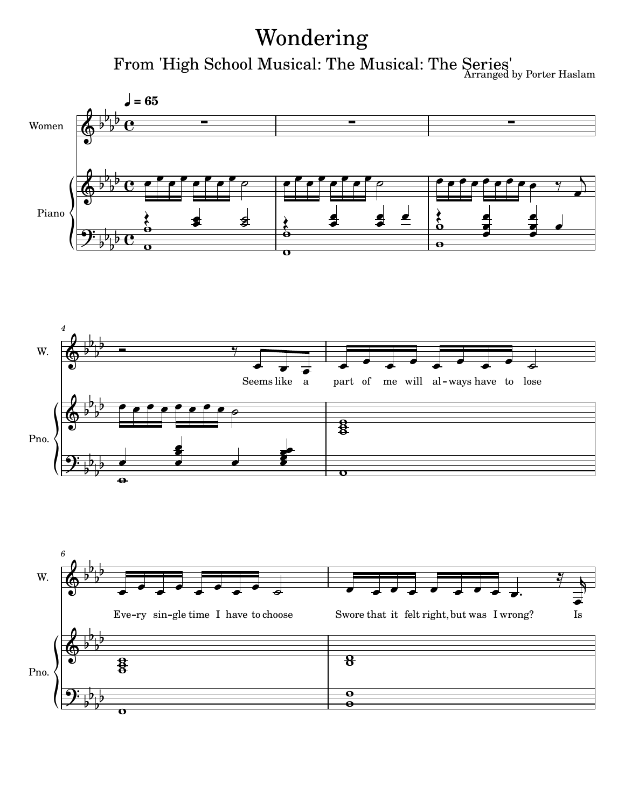## Wondering

From 'High School Musical: The Musical: The Series' by Porter Haslam





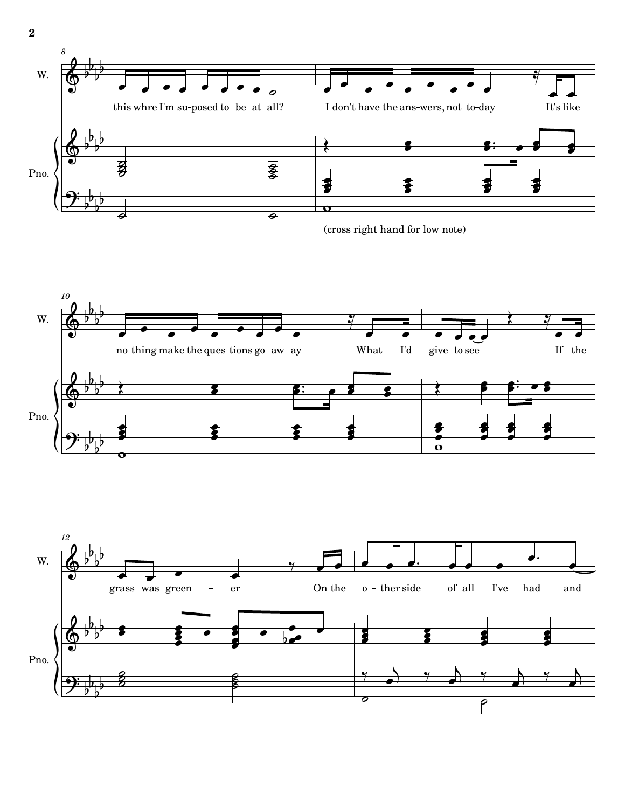





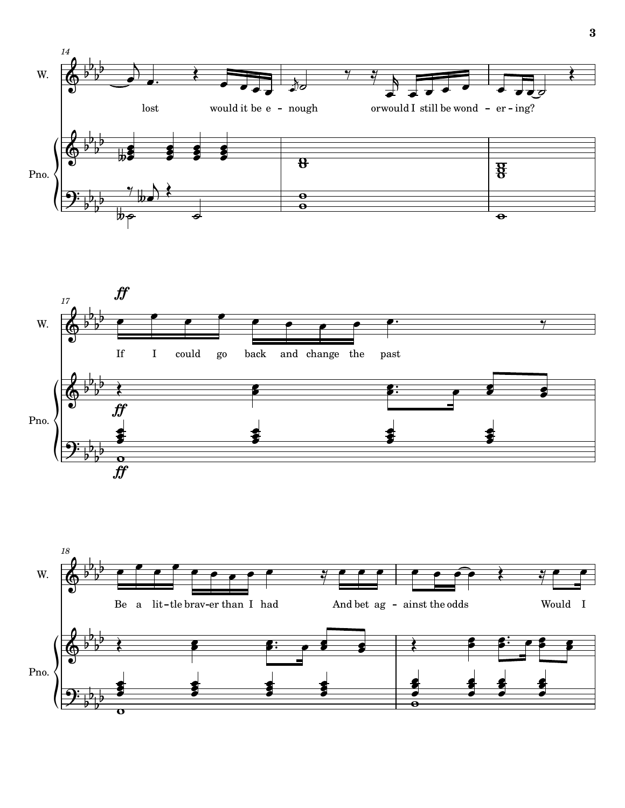



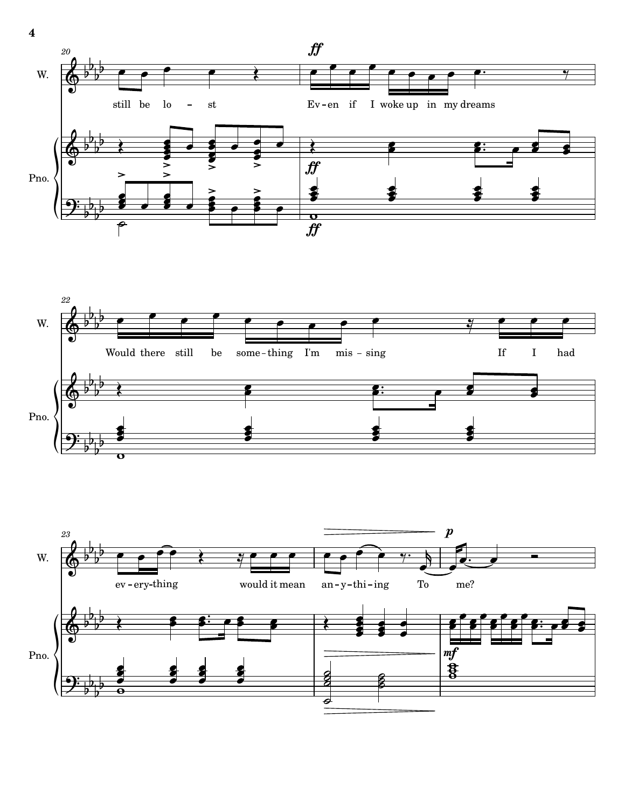



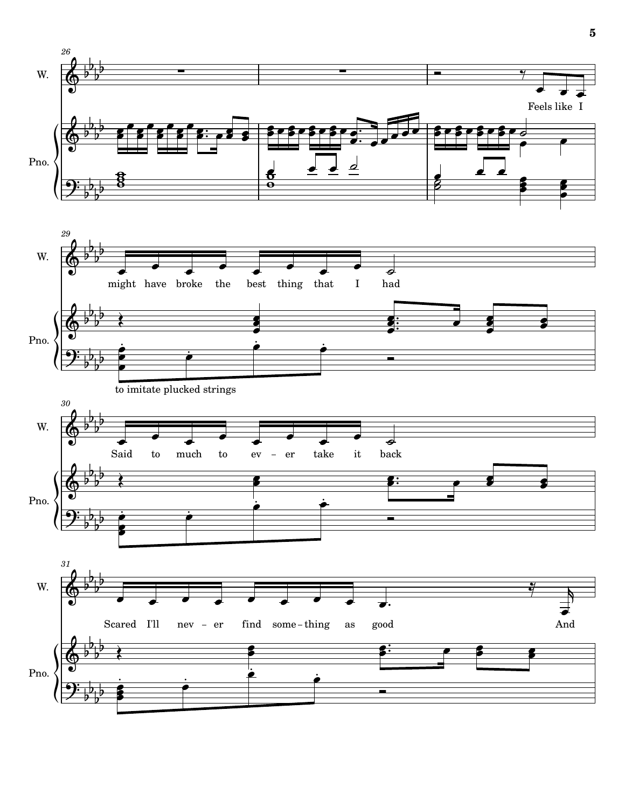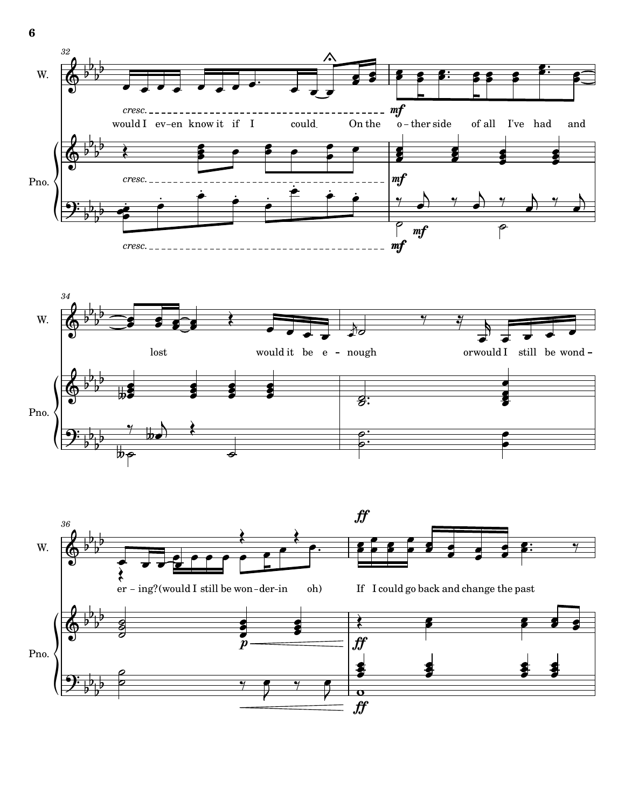



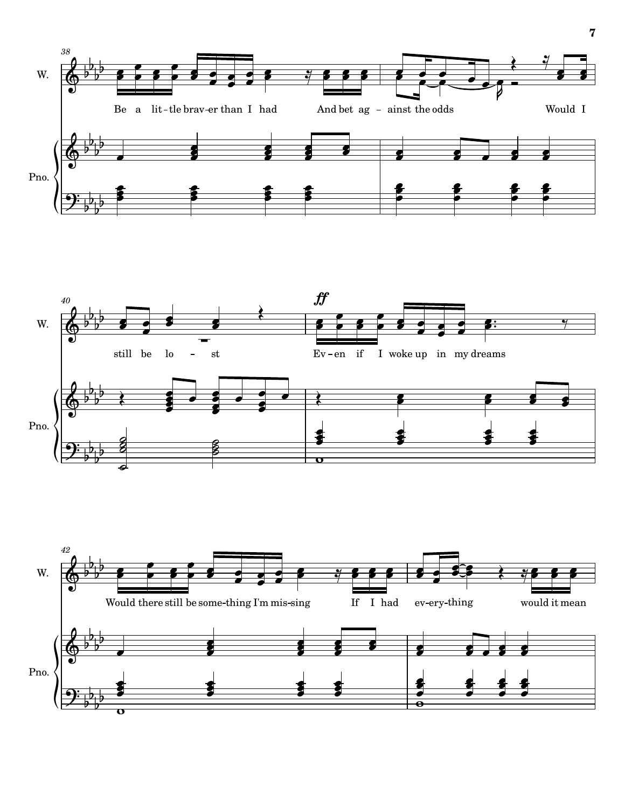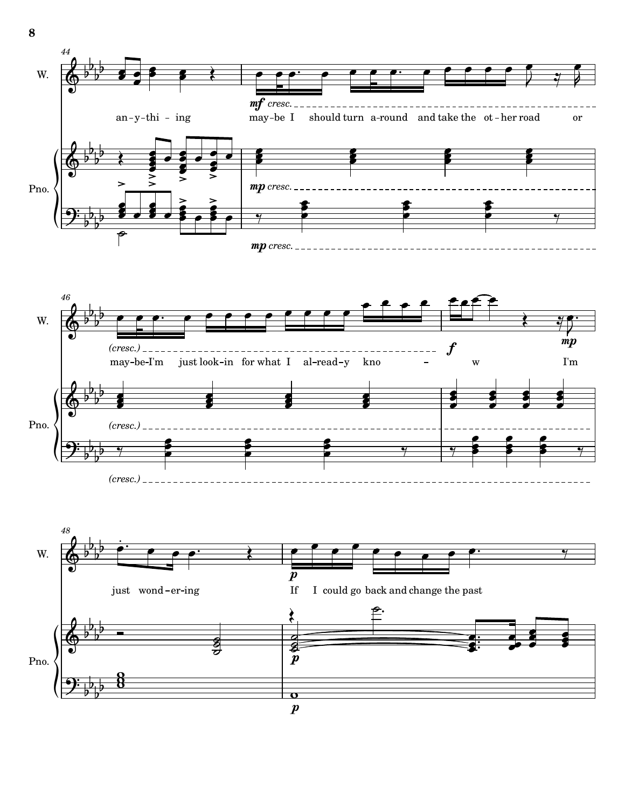



 $b^{\prime}$ 

*(cresc.)*

 $\frac{b^0 b^1}{b^0}$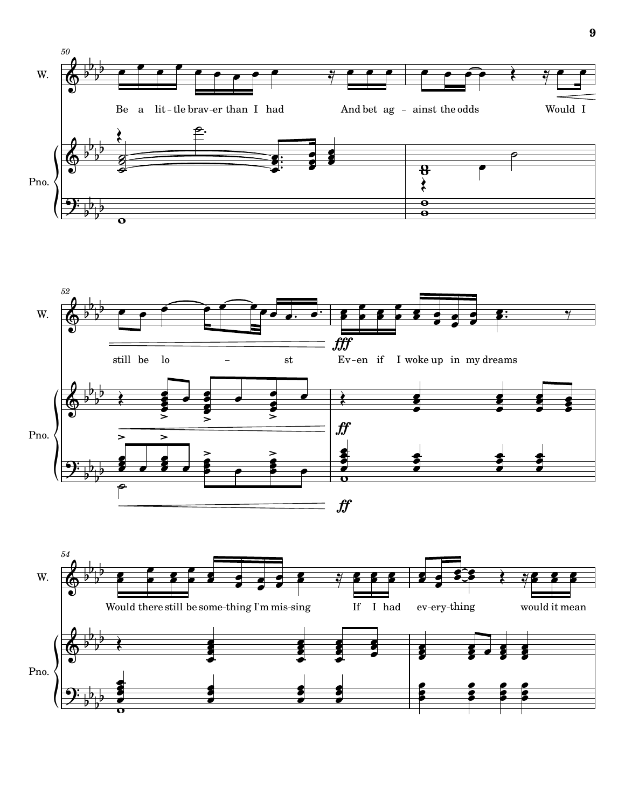